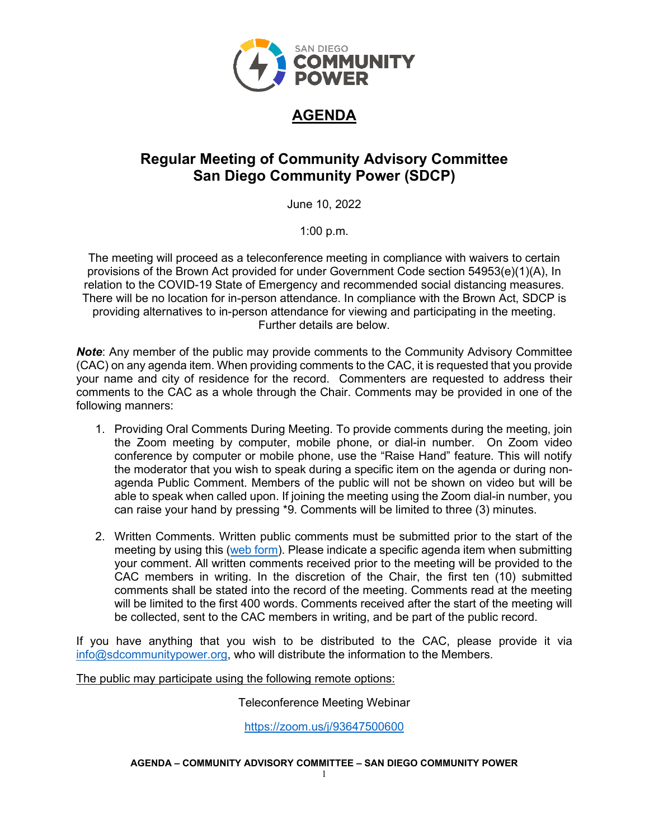

# **AGENDA**

# **Regular Meeting of Community Advisory Committee San Diego Community Power (SDCP)**

June 10, 2022

1:00 p.m.

The meeting will proceed as a teleconference meeting in compliance with waivers to certain provisions of the Brown Act provided for under Government Code section 54953(e)(1)(A), In relation to the COVID-19 State of Emergency and recommended social distancing measures. There will be no location for in-person attendance. In compliance with the Brown Act, SDCP is providing alternatives to in-person attendance for viewing and participating in the meeting. Further details are below.

*Note*: Any member of the public may provide comments to the Community Advisory Committee (CAC) on any agenda item. When providing comments to the CAC, it is requested that you provide your name and city of residence for the record. Commenters are requested to address their comments to the CAC as a whole through the Chair. Comments may be provided in one of the following manners:

- 1. Providing Oral Comments During Meeting. To provide comments during the meeting, join the Zoom meeting by computer, mobile phone, or dial-in number. On Zoom video conference by computer or mobile phone, use the "Raise Hand" feature. This will notify the moderator that you wish to speak during a specific item on the agenda or during nonagenda Public Comment. Members of the public will not be shown on video but will be able to speak when called upon. If joining the meeting using the Zoom dial-in number, you can raise your hand by pressing \*9. Comments will be limited to three (3) minutes.
- 2. Written Comments. Written public comments must be submitted prior to the start of the meeting by using this (web [form\)](https://forms.office.com/Pages/ResponsePage.aspx?id=XSW4f6XpL0eDY7ffRWFpAZHxCUAvhpNLsQKb7wsvNKdUQVM5TjNJQ1BSS0lXMlVJVFhJTldPQTBIQi4u). Please indicate a specific agenda item when submitting your comment. All written comments received prior to the meeting will be provided to the CAC members in writing. In the discretion of the Chair, the first ten (10) submitted comments shall be stated into the record of the meeting. Comments read at the meeting will be limited to the first 400 words. Comments received after the start of the meeting will be collected, sent to the CAC members in writing, and be part of the public record.

If you have anything that you wish to be distributed to the CAC, please provide it via [info@sdcommunitypower.org,](mailto:info@sdcommunitypower.org) who will distribute the information to the Members.

The public may participate using the following remote options:

## Teleconference Meeting Webinar

<https://zoom.us/j/93647500600>